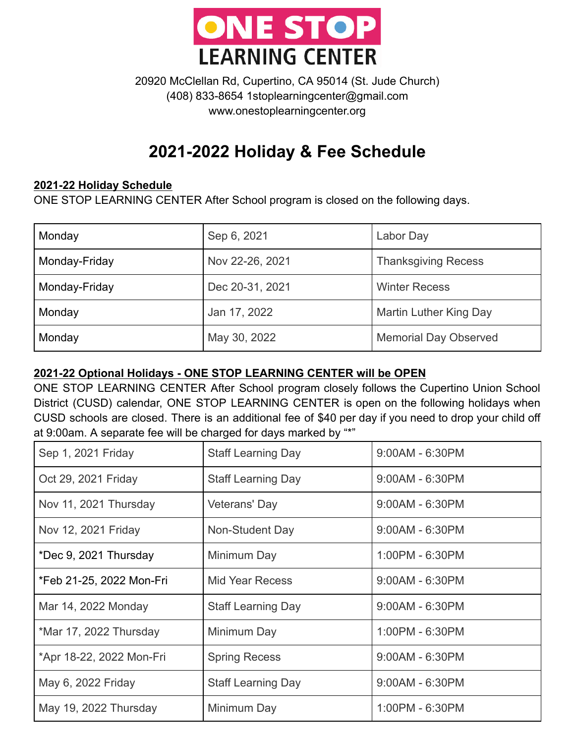

20920 McClellan Rd, Cupertino, CA 95014 (St. Jude Church) (408) 833-8654 1stoplearningcenter@gmail.com www.onestoplearningcenter.org

## **2021-2022 Holiday & Fee Schedule**

## **2021-22 Holiday Schedule**

ONE STOP LEARNING CENTER After School program is closed on the following days.

| Monday        | Sep 6, 2021     | Labor Day                    |
|---------------|-----------------|------------------------------|
| Monday-Friday | Nov 22-26, 2021 | <b>Thanksgiving Recess</b>   |
| Monday-Friday | Dec 20-31, 2021 | <b>Winter Recess</b>         |
| Monday        | Jan 17, 2022    | Martin Luther King Day       |
| Monday        | May 30, 2022    | <b>Memorial Day Observed</b> |

## **2021-22 Optional Holidays - ONE STOP LEARNING CENTER will be OPEN**

ONE STOP LEARNING CENTER After School program closely follows the Cupertino Union School District (CUSD) calendar, ONE STOP LEARNING CENTER is open on the following holidays when CUSD schools are closed. There is an additional fee of \$40 per day if you need to drop your child off at 9:00am. A separate fee will be charged for days marked by "\*"

| Sep 1, 2021 Friday       | <b>Staff Learning Day</b> | $9.00AM - 6.30PM$ |
|--------------------------|---------------------------|-------------------|
| Oct 29, 2021 Friday      | <b>Staff Learning Day</b> | $9:00AM - 6:30PM$ |
| Nov 11, 2021 Thursday    | Veterans' Day             | $9.00AM - 6.30PM$ |
| Nov 12, 2021 Friday      | Non-Student Day           | $9.00AM - 6.30PM$ |
| *Dec 9, 2021 Thursday    | Minimum Day               | 1:00PM - 6:30PM   |
| *Feb 21-25, 2022 Mon-Fri | Mid Year Recess           | $9:00AM - 6:30PM$ |
| Mar 14, 2022 Monday      | <b>Staff Learning Day</b> | $9:00AM - 6:30PM$ |
| *Mar 17, 2022 Thursday   | Minimum Day               | 1:00PM - 6:30PM   |
| *Apr 18-22, 2022 Mon-Fri | <b>Spring Recess</b>      | $9:00AM - 6:30PM$ |
| May 6, 2022 Friday       | <b>Staff Learning Day</b> | 9:00AM - 6:30PM   |
| May 19, 2022 Thursday    | Minimum Day               | 1:00PM - 6:30PM   |